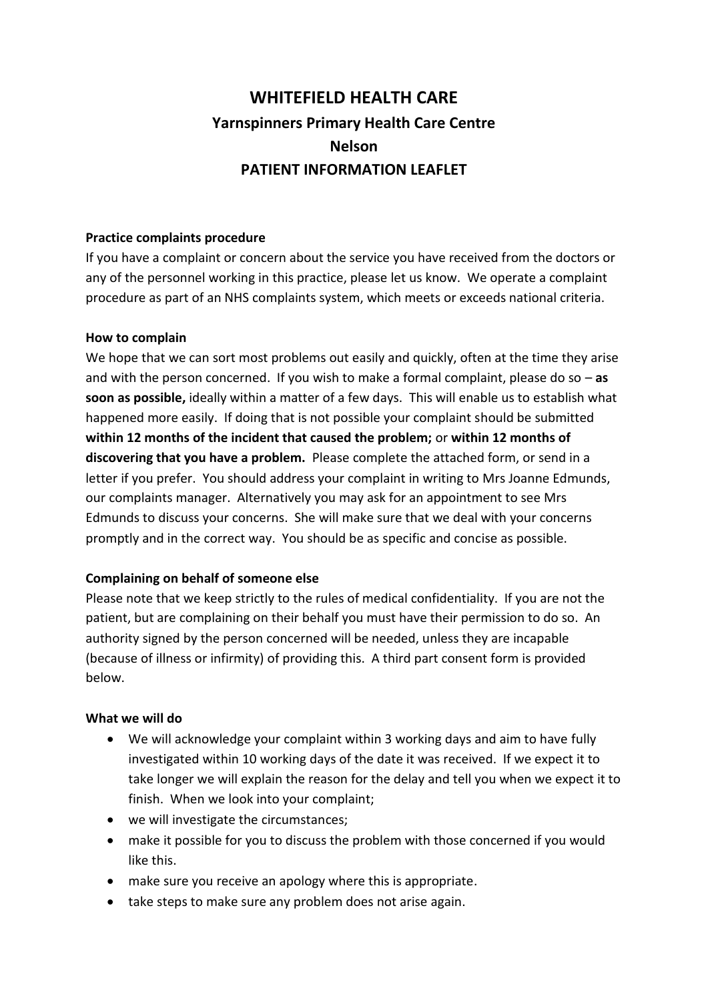# **WHITEFIELD HEALTH CARE Yarnspinners Primary Health Care Centre Nelson PATIENT INFORMATION LEAFLET**

### **Practice complaints procedure**

If you have a complaint or concern about the service you have received from the doctors or any of the personnel working in this practice, please let us know. We operate a complaint procedure as part of an NHS complaints system, which meets or exceeds national criteria.

#### **How to complain**

We hope that we can sort most problems out easily and quickly, often at the time they arise and with the person concerned. If you wish to make a formal complaint, please do so – **as soon as possible,** ideally within a matter of a few days. This will enable us to establish what happened more easily. If doing that is not possible your complaint should be submitted **within 12 months of the incident that caused the problem;** or **within 12 months of discovering that you have a problem.** Please complete the attached form, or send in a letter if you prefer. You should address your complaint in writing to Mrs Joanne Edmunds, our complaints manager. Alternatively you may ask for an appointment to see Mrs Edmunds to discuss your concerns. She will make sure that we deal with your concerns promptly and in the correct way. You should be as specific and concise as possible.

## **Complaining on behalf of someone else**

Please note that we keep strictly to the rules of medical confidentiality. If you are not the patient, but are complaining on their behalf you must have their permission to do so. An authority signed by the person concerned will be needed, unless they are incapable (because of illness or infirmity) of providing this. A third part consent form is provided below.

#### **What we will do**

- We will acknowledge your complaint within 3 working days and aim to have fully investigated within 10 working days of the date it was received. If we expect it to take longer we will explain the reason for the delay and tell you when we expect it to finish. When we look into your complaint;
- we will investigate the circumstances;
- make it possible for you to discuss the problem with those concerned if you would like this.
- make sure you receive an apology where this is appropriate.
- take steps to make sure any problem does not arise again.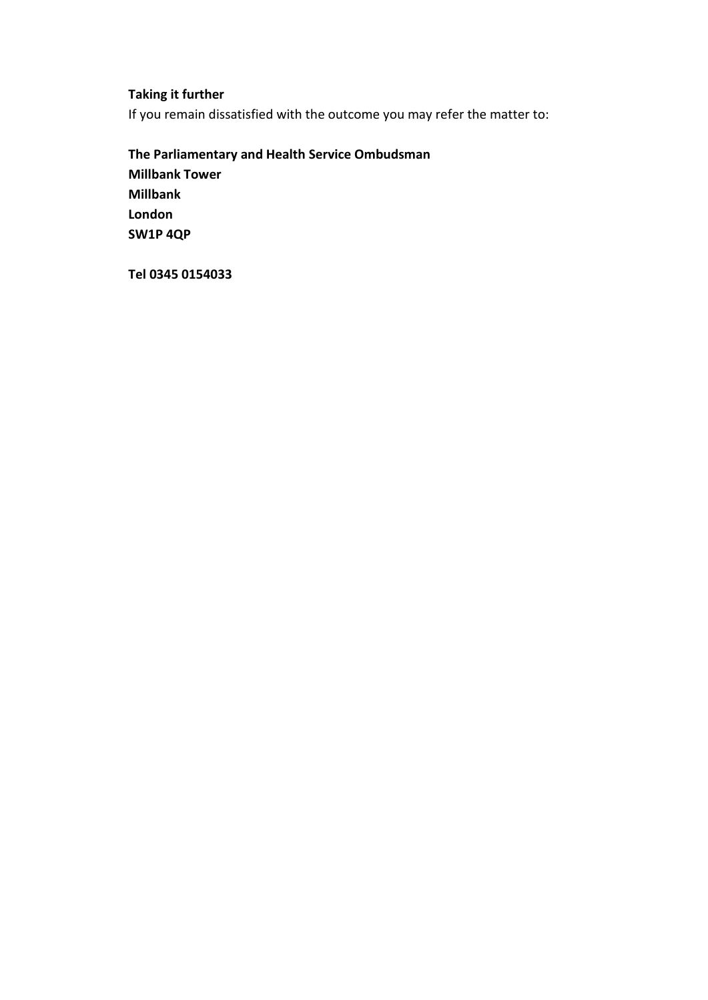## **Taking it further**

If you remain dissatisfied with the outcome you may refer the matter to:

**The Parliamentary and Health Service Ombudsman Millbank Tower Millbank London SW1P 4QP**

**Tel 0345 0154033**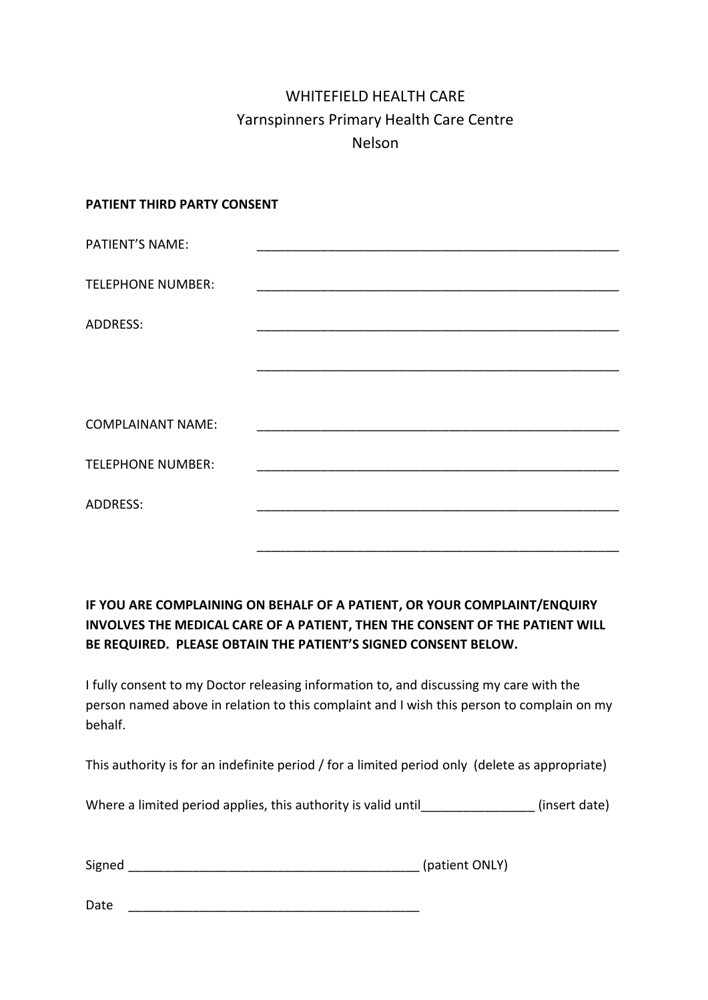## WHITEFIELD HEALTH CARE Yarnspinners Primary Health Care Centre Nelson

#### **PATIENT THIRD PARTY CONSENT**

| <b>PATIENT'S NAME:</b>   |  |
|--------------------------|--|
|                          |  |
| <b>TELEPHONE NUMBER:</b> |  |
|                          |  |
| <b>ADDRESS:</b>          |  |
|                          |  |
|                          |  |
|                          |  |
|                          |  |
| <b>COMPLAINANT NAME:</b> |  |
|                          |  |
| <b>TELEPHONE NUMBER:</b> |  |
|                          |  |
| <b>ADDRESS:</b>          |  |
|                          |  |
|                          |  |
|                          |  |

## **IF YOU ARE COMPLAINING ON BEHALF OF A PATIENT, OR YOUR COMPLAINT/ENQUIRY INVOLVES THE MEDICAL CARE OF A PATIENT, THEN THE CONSENT OF THE PATIENT WILL BE REQUIRED. PLEASE OBTAIN THE PATIENT'S SIGNED CONSENT BELOW.**

I fully consent to my Doctor releasing information to, and discussing my care with the person named above in relation to this complaint and I wish this person to complain on my behalf.

This authority is for an indefinite period / for a limited period only (delete as appropriate)

Where a limited period applies, this authority is valid until [100] (insert date)

| Signed | (patient ONLY) |
|--------|----------------|
|--------|----------------|

Date \_\_\_\_\_\_\_\_\_\_\_\_\_\_\_\_\_\_\_\_\_\_\_\_\_\_\_\_\_\_\_\_\_\_\_\_\_\_\_\_\_